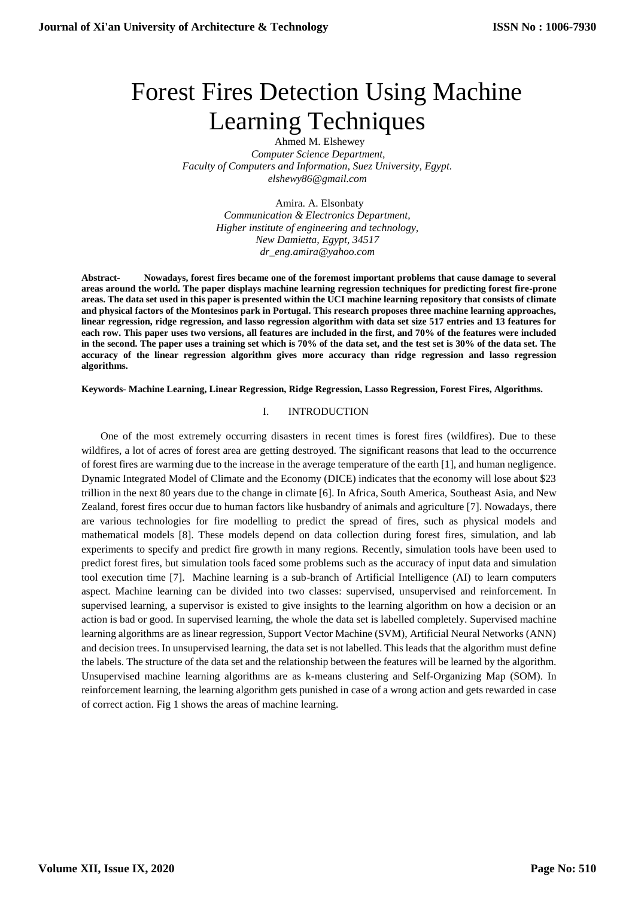# Forest Fires Detection Using Machine Learning Techniques

Ahmed M. Elshewey *Computer Science Department, Faculty of Computers and Information, Suez University, Egypt. elshewy86@gmail.com*

> Amira. A. Elsonbaty *Communication & Electronics Department, Higher institute of engineering and technology, New Damietta, Egypt, 34517 dr\_eng.amira@yahoo.com*

**Abstract- Nowadays, forest fires became one of the foremost important problems that cause damage to several areas around the world. The paper displays machine learning regression techniques for predicting forest fire-prone areas. The data set used in this paper is presented within the UCI machine learning repository that consists of climate and physical factors of the Montesinos park in Portugal. This research proposes three machine learning approaches, linear regression, ridge regression, and lasso regression algorithm with data set size 517 entries and 13 features for each row. This paper uses two versions, all features are included in the first, and 70% of the features were included in the second. The paper uses a training set which is 70% of the data set, and the test set is 30% of the data set. The accuracy of the linear regression algorithm gives more accuracy than ridge regression and lasso regression algorithms.**

**Keywords- Machine Learning, Linear Regression, Ridge Regression, Lasso Regression, Forest Fires, Algorithms.**

#### I. INTRODUCTION

One of the most extremely occurring disasters in recent times is forest fires (wildfires). Due to these wildfires, a lot of acres of forest area are getting destroyed. The significant reasons that lead to the occurrence of forest fires are warming due to the increase in the average temperature of the earth [1], and human negligence. Dynamic Integrated Model of Climate and the Economy (DICE) indicates that the economy will lose about \$23 trillion in the next 80 years due to the change in climate [6]. In Africa, South America, Southeast Asia, and New Zealand, forest fires occur due to human factors like husbandry of animals and agriculture [7]. Nowadays, there are various technologies for fire modelling to predict the spread of fires, such as physical models and mathematical models [8]. These models depend on data collection during forest fires, simulation, and lab experiments to specify and predict fire growth in many regions. Recently, simulation tools have been used to predict forest fires, but simulation tools faced some problems such as the accuracy of input data and simulation tool execution time [7]. Machine learning is a sub-branch of Artificial Intelligence (AI) to learn computers aspect. Machine learning can be divided into two classes: supervised, unsupervised and reinforcement. In supervised learning, a supervisor is existed to give insights to the learning algorithm on how a decision or an action is bad or good. In supervised learning, the whole the data set is labelled completely. Supervised machine learning algorithms are as linear regression, Support Vector Machine (SVM), Artificial Neural Networks (ANN) and decision trees. In unsupervised learning, the data set is not labelled. This leads that the algorithm must define the labels. The structure of the data set and the relationship between the features will be learned by the algorithm. Unsupervised machine learning algorithms are as k-means clustering and Self-Organizing Map (SOM). In reinforcement learning, the learning algorithm gets punished in case of a wrong action and gets rewarded in case of correct action. Fig 1 shows the areas of machine learning.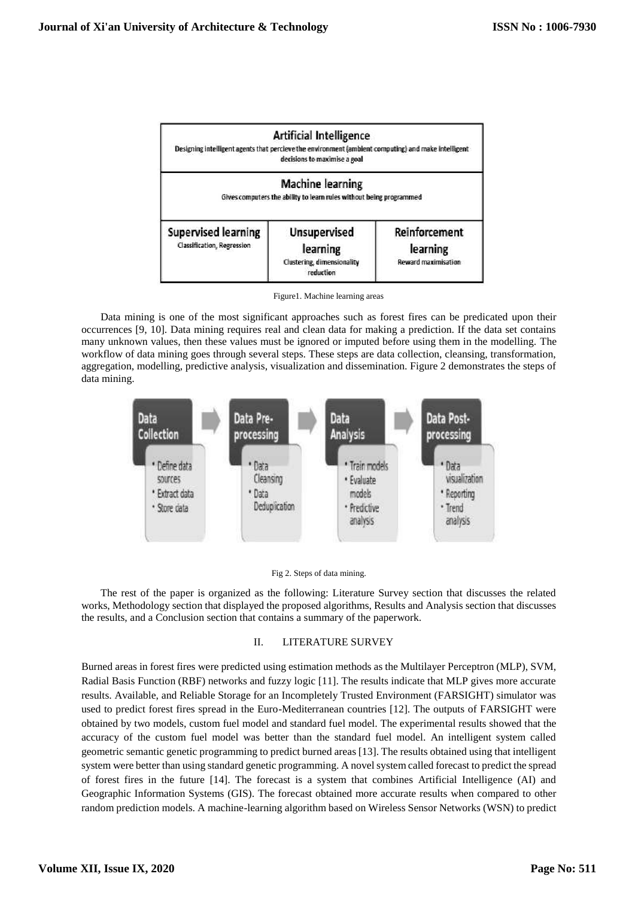

Figure1. Machine learning areas

Data mining is one of the most significant approaches such as forest fires can be predicated upon their occurrences [9, 10]. Data mining requires real and clean data for making a prediction. If the data set contains many unknown values, then these values must be ignored or imputed before using them in the modelling. The workflow of data mining goes through several steps. These steps are data collection, cleansing, transformation, aggregation, modelling, predictive analysis, visualization and dissemination. Figure 2 demonstrates the steps of data mining.





The rest of the paper is organized as the following: Literature Survey section that discusses the related works, Methodology section that displayed the proposed algorithms, Results and Analysis section that discusses the results, and a Conclusion section that contains a summary of the paperwork.

# II. LITERATURE SURVEY

Burned areas in forest fires were predicted using estimation methods as the Multilayer Perceptron (MLP), SVM, Radial Basis Function (RBF) networks and fuzzy logic [11]. The results indicate that MLP gives more accurate results. Available, and Reliable Storage for an Incompletely Trusted Environment (FARSIGHT) simulator was used to predict forest fires spread in the Euro-Mediterranean countries [12]. The outputs of FARSIGHT were obtained by two models, custom fuel model and standard fuel model. The experimental results showed that the accuracy of the custom fuel model was better than the standard fuel model. An intelligent system called geometric semantic genetic programming to predict burned areas [13]. The results obtained using that intelligent system were better than using standard genetic programming. A novel system called forecast to predict the spread of forest fires in the future [14]. The forecast is a system that combines Artificial Intelligence (AI) and Geographic Information Systems (GIS). The forecast obtained more accurate results when compared to other random prediction models. A machine-learning algorithm based on Wireless Sensor Networks (WSN) to predict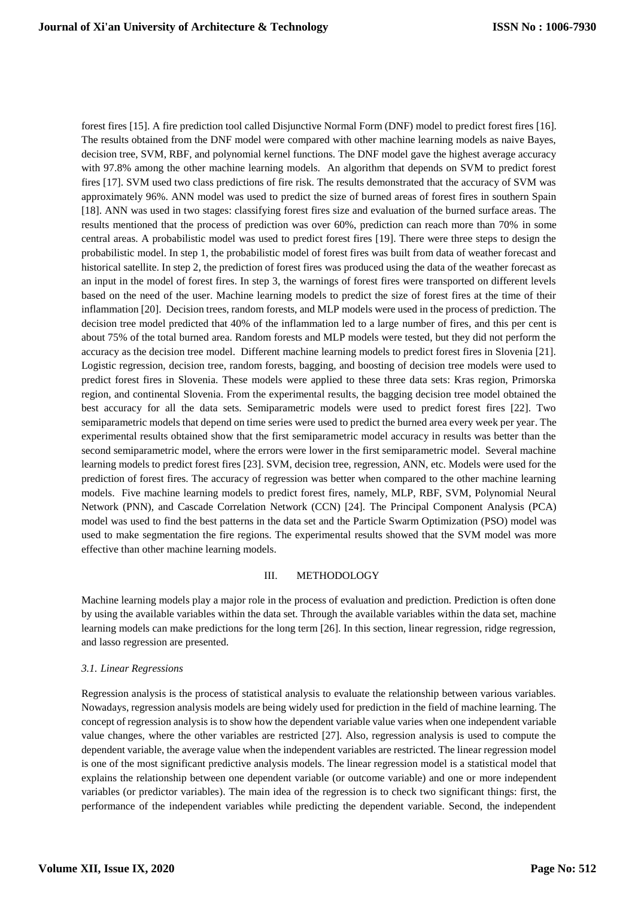forest fires [15]. A fire prediction tool called Disjunctive Normal Form (DNF) model to predict forest fires [16]. The results obtained from the DNF model were compared with other machine learning models as naive Bayes, decision tree, SVM, RBF, and polynomial kernel functions. The DNF model gave the highest average accuracy with 97.8% among the other machine learning models. An algorithm that depends on SVM to predict forest fires [17]. SVM used two class predictions of fire risk. The results demonstrated that the accuracy of SVM was approximately 96%. ANN model was used to predict the size of burned areas of forest fires in southern Spain [18]. ANN was used in two stages: classifying forest fires size and evaluation of the burned surface areas. The results mentioned that the process of prediction was over 60%, prediction can reach more than 70% in some central areas. A probabilistic model was used to predict forest fires [19]. There were three steps to design the probabilistic model. In step 1, the probabilistic model of forest fires was built from data of weather forecast and historical satellite. In step 2, the prediction of forest fires was produced using the data of the weather forecast as an input in the model of forest fires. In step 3, the warnings of forest fires were transported on different levels based on the need of the user. Machine learning models to predict the size of forest fires at the time of their inflammation [20]. Decision trees, random forests, and MLP models were used in the process of prediction. The decision tree model predicted that 40% of the inflammation led to a large number of fires, and this per cent is about 75% of the total burned area. Random forests and MLP models were tested, but they did not perform the accuracy as the decision tree model. Different machine learning models to predict forest fires in Slovenia [21]. Logistic regression, decision tree, random forests, bagging, and boosting of decision tree models were used to predict forest fires in Slovenia. These models were applied to these three data sets: Kras region, Primorska region, and continental Slovenia. From the experimental results, the bagging decision tree model obtained the best accuracy for all the data sets. Semiparametric models were used to predict forest fires [22]. Two semiparametric models that depend on time series were used to predict the burned area every week per year. The experimental results obtained show that the first semiparametric model accuracy in results was better than the second semiparametric model, where the errors were lower in the first semiparametric model. Several machine learning models to predict forest fires [23]. SVM, decision tree, regression, ANN, etc. Models were used for the prediction of forest fires. The accuracy of regression was better when compared to the other machine learning models. Five machine learning models to predict forest fires, namely, MLP, RBF, SVM, Polynomial Neural Network (PNN), and Cascade Correlation Network (CCN) [24]. [The Principal Component Analysis](https://www.sciencedirect.com/topics/computer-science/principle-component-analysis) (PCA) model was used to find the best patterns in the data set and the [Particle Swarm Optimization](https://www.sciencedirect.com/topics/computer-science/particle-swarm-optimization) (PSO) model was used to make segmentation the fire regions. The experimental results showed that the SVM model was more effective than other machine learning models.

#### III. METHODOLOGY

Machine learning models play a major role in the process of evaluation and prediction. Prediction is often done by using the available variables within the data set. Through the available variables within the data set, machine learning models can make predictions for the long term [26]. In this section, linear regression, ridge regression, and lasso regression are presented.

# *3.1. Linear Regressions*

Regression analysis is the process of statistical analysis to evaluate the relationship between various variables. Nowadays, regression analysis models are being widely used for prediction in the field of machine learning. The concept of regression analysis is to show how the dependent variable value varies when one independent variable value changes, where the other variables are restricted [27]. Also, regression analysis is used to compute the dependent variable, the average value when the independent variables are restricted. The linear regression model is one of the most significant predictive analysis models. The linear regression model is a statistical model that explains the relationship between one dependent variable (or outcome variable) and one or more independent [variables](https://en.wikipedia.org/wiki/Explanatory_variable) (or [predictor variables\)](https://en.wikipedia.org/wiki/Independent_variable). The main idea of the regression is to check two significant things: first, the performance of the independent variables while predicting the dependent variable. Second, the independent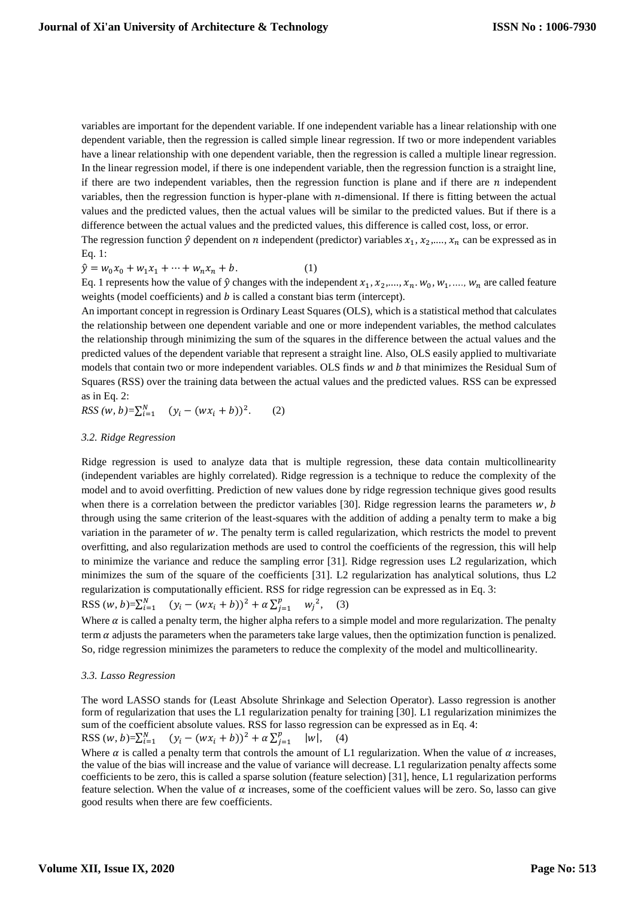variables are important for the dependent variable. If one independent variable has a [linear relationship](https://www.investopedia.com/terms/l/linearrelationship.asp) with one dependent variable, then the regression is called [simple linear regression.](https://www.investopedia.com/terms/m/mlr.asp) If two or more independent variables have [a linear relationship](https://www.investopedia.com/terms/l/linearrelationship.asp) with one dependent variable, then the regression is called a [multiple linear regression.](https://www.investopedia.com/terms/m/mlr.asp)  In the linear regression model, if there is one independent variable, then the regression function is a straight line, if there are two independent variables, then the regression function is plane and if there are  $n$  independent variables, then the regression function is hyper-plane with  $n$ -dimensional. If there is fitting between the actual values and the predicted values, then the actual values will be similar to the predicted values. But if there is a difference between the actual values and the predicted values, this difference is called cost, loss, or error.

The regression function  $\hat{y}$  dependent on  $n$  independent (predictor) variables  $x_1, x_2, ..., x_n$  can be expressed as in Eq. 1:

$$
\hat{y} = w_0 x_0 + w_1 x_1 + \dots + w_n x_n + b. \tag{1}
$$

Eq. 1 represents how the value of  $\hat{y}$  changes with the independent  $x_1, x_2, ..., x_n, w_0, w_1, ..., w_n$  are called feature weights (model coefficients) and  $b$  is called a constant bias term (intercept).

An important concept in regression is Ordinary Least Squares (OLS), which is [a statistical method](https://www.encyclopedia.com/earth-and-environment/ecology-and-environmentalism/environmental-studies/statistical-method) that calculates the relationship between one dependent variable and one or more independent variables, the method calculates the relationship through minimizing the sum of the squares in the difference between the actual values and the predicted values of the dependent variable that represent a straight line. Also, OLS easily applied to multivariate models that contain two or more independent variables. OLS finds  $w$  and  $b$  that minimizes the Residual Sum of Squares (RSS) over the training data between the actual values and the predicted values. RSS can be expressed as in Eq. 2:

*RSS*  $(w, b) = \sum_{i=1}^{N} (y_i - (wx_i + b))^2$ . (2)

# *3.2. Ridge Regression*

Ridge regression is used to analyze data that is multiple regression, these data contain multicollinearity (independent variables are highly correlated). Ridge regression is a technique to reduce the complexity of the model and to avoid overfitting. Prediction of new values done by ridge regression technique gives good results when there is a correlation between the predictor variables [30]. Ridge regression learns the parameters  $w, b$ through using the same criterion of the least-squares with the addition of adding a penalty term to make a big variation in the parameter of w. The penalty term is called regularization, which restricts the model to prevent overfitting, and also regularization methods are used to control the coefficients of the regression, this will help to minimize the variance and reduce the sampling error [31]. Ridge regression uses [L2 regularization,](https://www.statisticshowto.datasciencecentral.com/regularization/) which minimizes the sum of the square of the coefficients [31]. [L2 regularization](https://www.statisticshowto.datasciencecentral.com/regularization/) has analytical solutions, thus [L2](https://www.statisticshowto.datasciencecentral.com/regularization/)  [regularization](https://www.statisticshowto.datasciencecentral.com/regularization/) is computationally efficient. RSS for ridge regression can be expressed as in Eq. 3: RSS  $(w, b)=\sum_{i=1}^{N} (y_i - (wx_i + b))^2 + \alpha \sum_{j=1}^{p} w_j^2$ , (3)

Where  $\alpha$  is called a penalty term, the higher alpha refers to a simple model and more regularization. The penalty term  $\alpha$  adjusts the parameters when the parameters take large values, then the optimization function is penalized. So, ridge regression minimizes the parameters to reduce the complexity of the model and multicollinearity.

#### *3.3. Lasso Regression*

The word LASSO stands for (Least Absolute Shrinkage and Selection Operator). Lasso regression is another form of [regularization](https://www.statisticshowto.datasciencecentral.com/regularization/) that uses the [L1 regularization](https://www.statisticshowto.datasciencecentral.com/regularization/) penalty for training [30]. [L1 regularization](https://www.statisticshowto.datasciencecentral.com/regularization/) minimizes the sum of the coefficient absolute values. RSS for lasso regression can be expressed as in Eq. 4: RSS  $(w, b)=\sum_{i=1}^{N} (y_i - (wx_i + b))^2 + \alpha \sum_{i=1}^{p} (wx_i + b)^2$  $\sum_{j=1}^{p}$  |w|, (4)

Where  $\alpha$  is called a penalty term that controls the amount of [L1 regularization.](https://www.statisticshowto.datasciencecentral.com/regularization/) When the value of  $\alpha$  increases, the value of the bias will increase and the value of variance will decrease[. L1 regularization](https://www.statisticshowto.datasciencecentral.com/regularization/) penalty affects some coefficients to be zero, this is called a sparse solution (feature selection) [31], hence, [L1 regularization](https://www.statisticshowto.datasciencecentral.com/regularization/) performs feature selection. When the value of  $\alpha$  increases, some of the coefficient values will be zero. So, lasso can give good results when there are few coefficients.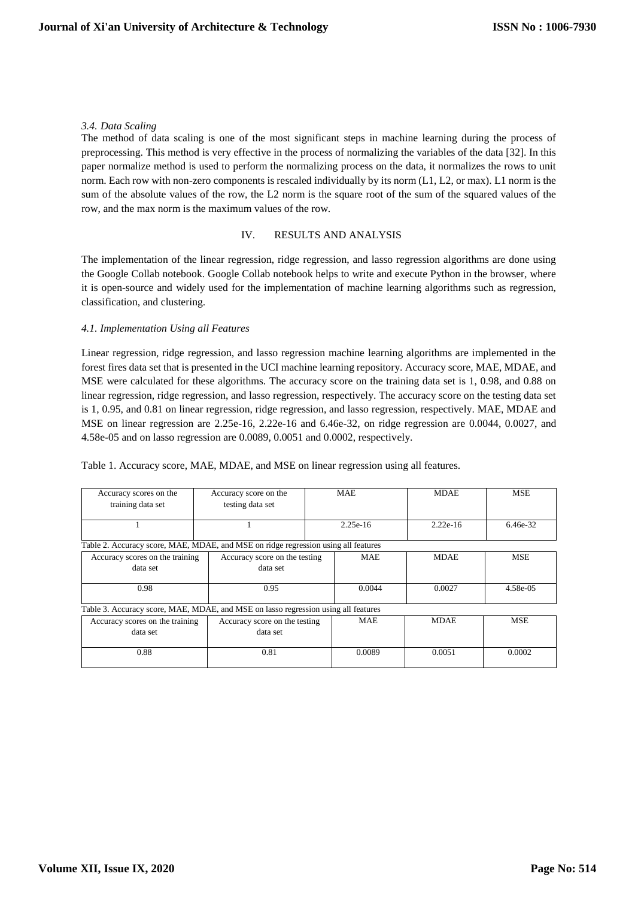#### *3.4. Data Scaling*

The method of data scaling is one of the most significant steps in machine learning during the process of preprocessing. This method is very effective in the process of normalizing the variables of the data [32]. In this paper normalize method is used to perform the normalizing process on the data, it normalizes the rows to unit norm. Each row with non-zero components is rescaled individually by its norm (L1, L2, or max). L1 norm is the sum of the absolute values of the row, the L2 norm is the square root of the sum of the squared values of the row, and the max norm is the maximum values of the row.

# IV. RESULTS AND ANALYSIS

The implementation of the linear regression, ridge regression, and lasso regression algorithms are done using the Google Collab notebook. Google Collab notebook helps to write and execute Python in the browser, where it is open-source and widely used for the implementation of machine learning algorithms such as regression, classification, and clustering.

# *4.1. Implementation Using all Features*

Linear regression, ridge regression, and lasso regression machine learning algorithms are implemented in the forest fires data set that is presented in the UCI machine learning repository. Accuracy score, MAE, MDAE, and MSE were calculated for these algorithms. The accuracy score on the training data set is 1, 0.98, and 0.88 on linear regression, ridge regression, and lasso regression, respectively. The accuracy score on the testing data set is 1, 0.95, and 0.81 on linear regression, ridge regression, and lasso regression, respectively. MAE, MDAE and MSE on linear regression are 2.25e-16, 2.22e-16 and 6.46e-32, on ridge regression are 0.0044, 0.0027, and 4.58e-05 and on lasso regression are 0.0089, 0.0051 and 0.0002, respectively.

Table 1. Accuracy score, MAE, MDAE, and MSE on linear regression using all features.

| Accuracy scores on the<br>training data set                                        | Accuracy score on the<br>testing data set | <b>MAE</b> | <b>MDAE</b> | <b>MSE</b> |
|------------------------------------------------------------------------------------|-------------------------------------------|------------|-------------|------------|
|                                                                                    |                                           | $2.25e-16$ | $2.22e-16$  | 6.46e-32   |
| Table 2. Accuracy score, MAE, MDAE, and MSE on ridge regression using all features |                                           |            |             |            |
| Accuracy scores on the training<br>data set                                        | Accuracy score on the testing<br>data set | <b>MAE</b> | <b>MDAE</b> | <b>MSE</b> |
|                                                                                    |                                           |            |             |            |
| 0.98<br>0.95                                                                       |                                           | 0.0044     | 0.0027      | 4.58e-05   |
| Table 3. Accuracy score, MAE, MDAE, and MSE on lasso regression using all features |                                           |            |             |            |
| Accuracy scores on the training                                                    | Accuracy score on the testing             | <b>MAE</b> | <b>MDAE</b> | <b>MSE</b> |
| data set                                                                           | data set                                  |            |             |            |
| 0.88                                                                               | 0.81                                      | 0.0089     | 0.0051      | 0.0002     |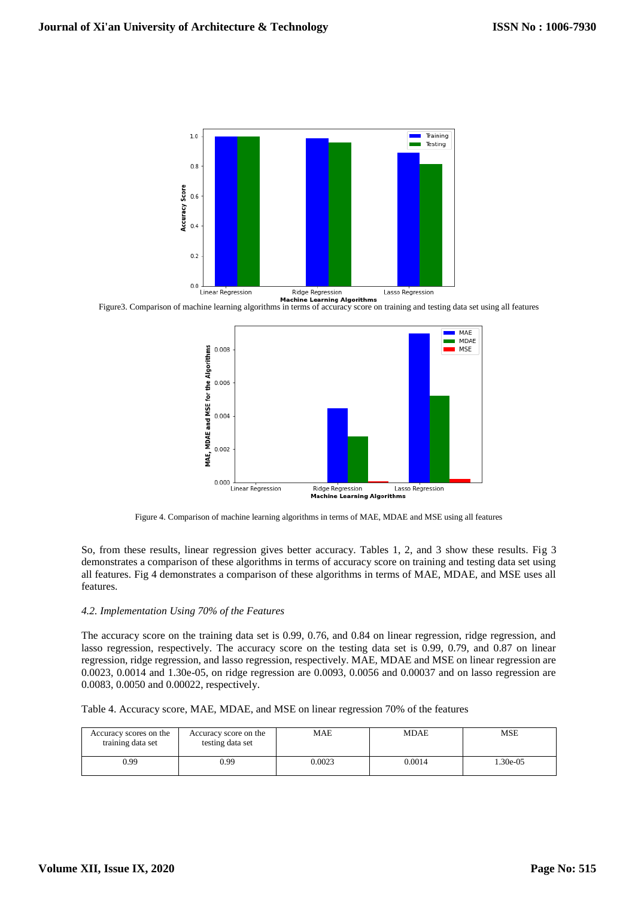

Figure3. Comparison of machine learning algorithms in terms of accuracy score on training and testing data set using all features



Figure 4. Comparison of machine learning algorithms in terms of MAE, MDAE and MSE using all features

So, from these results, linear regression gives better accuracy. Tables 1, 2, and 3 show these results. Fig 3 demonstrates a comparison of these algorithms in terms of accuracy score on training and testing data set using all features. Fig 4 demonstrates a comparison of these algorithms in terms of MAE, MDAE, and MSE uses all features.

#### *4.2. Implementation Using 70% of the Features*

The accuracy score on the training data set is 0.99, 0.76, and 0.84 on linear regression, ridge regression, and lasso regression, respectively. The accuracy score on the testing data set is 0.99, 0.79, and 0.87 on linear regression, ridge regression, and lasso regression, respectively. MAE, MDAE and MSE on linear regression are 0.0023, 0.0014 and 1.30e-05, on ridge regression are 0.0093, 0.0056 and 0.00037 and on lasso regression are 0.0083, 0.0050 and 0.00022, respectively.

Table 4. Accuracy score, MAE, MDAE, and MSE on linear regression 70% of the features

| Accuracy scores on the<br>training data set | Accuracy score on the<br>testing data set | MAE    | MDAE   | MSE      |
|---------------------------------------------|-------------------------------------------|--------|--------|----------|
| 0.99                                        | 0.99                                      | 0.0023 | 0.0014 | 1.30e-05 |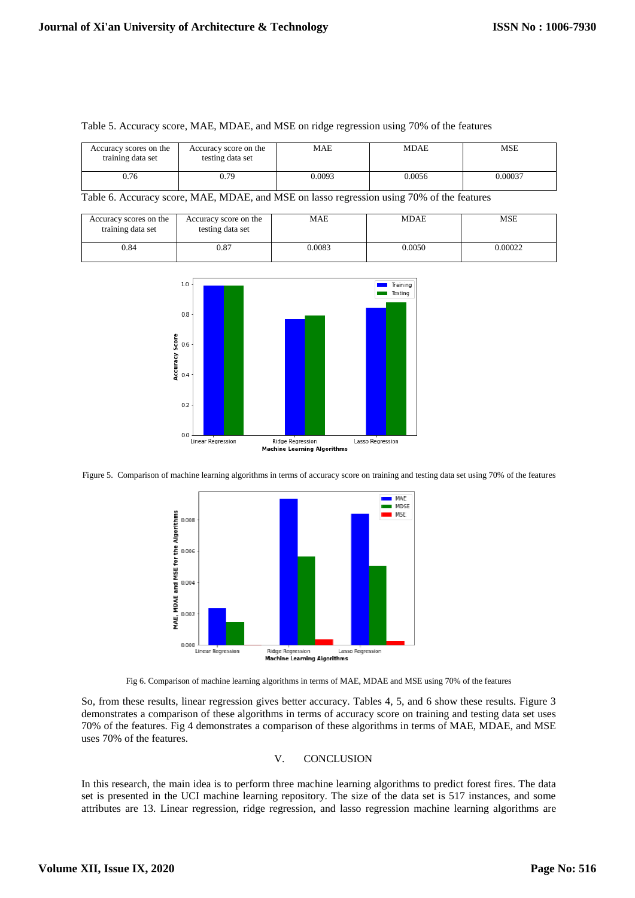| Accuracy scores on the<br>training data set | Accuracy score on the<br>testing data set | <b>MAE</b> | MDAE   | MSE     |
|---------------------------------------------|-------------------------------------------|------------|--------|---------|
| 0.76                                        | 0.79                                      | 0.0093     | 0.0056 | 0.00037 |

# Table 5. Accuracy score, MAE, MDAE, and MSE on ridge regression using 70% of the features

Table 6. Accuracy score, MAE, MDAE, and MSE on lasso regression using 70% of the features

| Accuracy scores on the<br>training data set | Accuracy score on the<br>testing data set | MAE    | <b>MDAE</b> | MSE     |
|---------------------------------------------|-------------------------------------------|--------|-------------|---------|
| 0.84                                        | $_{0.87}$                                 | 0.0083 | 0.0050      | 0.00022 |



Figure 5. Comparison of machine learning algorithms in terms of accuracy score on training and testing data set using 70% of the features



Fig 6. Comparison of machine learning algorithms in terms of MAE, MDAE and MSE using 70% of the features

So, from these results, linear regression gives better accuracy. Tables 4, 5, and 6 show these results. Figure 3 demonstrates a comparison of these algorithms in terms of accuracy score on training and testing data set uses 70% of the features. Fig 4 demonstrates a comparison of these algorithms in terms of MAE, MDAE, and MSE uses 70% of the features.

# V. CONCLUSION

In this research, the main idea is to perform three machine learning algorithms to predict forest fires. The data set is presented in the UCI machine learning repository. The size of the data set is 517 instances, and some attributes are 13. Linear regression, ridge regression, and lasso regression machine learning algorithms are